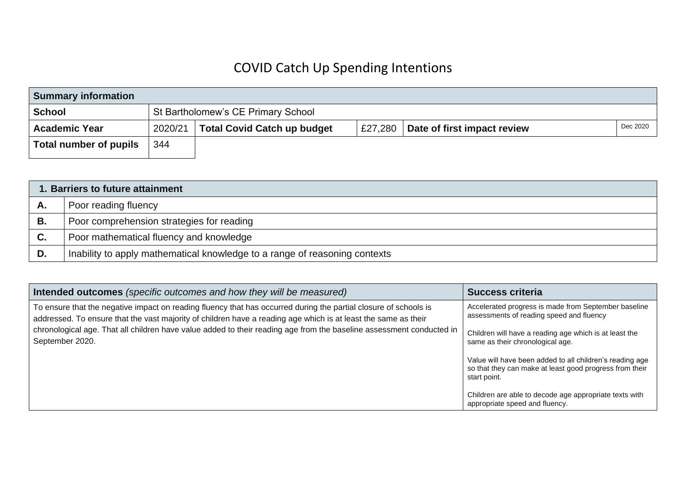## COVID Catch Up Spending Intentions

| <b>Summary information</b> |         |                                    |         |                             |          |  |
|----------------------------|---------|------------------------------------|---------|-----------------------------|----------|--|
| School                     |         | St Bartholomew's CE Primary School |         |                             |          |  |
| <b>Academic Year</b>       | 2020/21 | <b>Total Covid Catch up budget</b> | £27,280 | Date of first impact review | Dec 2020 |  |
| Total number of pupils     | 344     |                                    |         |                             |          |  |

|                | 1. Barriers to future attainment                                           |
|----------------|----------------------------------------------------------------------------|
| Α.             | Poor reading fluency                                                       |
| В.             | Poor comprehension strategies for reading                                  |
| $\mathbf{C}$ . | Poor mathematical fluency and knowledge                                    |
| D.             | Inability to apply mathematical knowledge to a range of reasoning contexts |

| <b>Intended outcomes</b> (specific outcomes and how they will be measured)                                                                                                                                                         | <b>Success criteria</b>                                                                                                             |
|------------------------------------------------------------------------------------------------------------------------------------------------------------------------------------------------------------------------------------|-------------------------------------------------------------------------------------------------------------------------------------|
| To ensure that the negative impact on reading fluency that has occurred during the partial closure of schools is<br>addressed. To ensure that the vast majority of children have a reading age which is at least the same as their | Accelerated progress is made from September baseline<br>assessments of reading speed and fluency                                    |
| chronological age. That all children have value added to their reading age from the baseline assessment conducted in<br>September 2020.                                                                                            | Children will have a reading age which is at least the<br>same as their chronological age.                                          |
|                                                                                                                                                                                                                                    | Value will have been added to all children's reading age<br>so that they can make at least good progress from their<br>start point. |
|                                                                                                                                                                                                                                    | Children are able to decode age appropriate texts with<br>appropriate speed and fluency.                                            |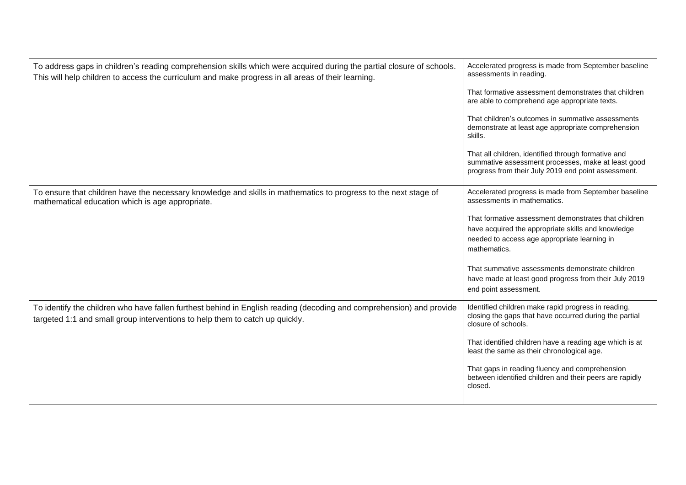| To address gaps in children's reading comprehension skills which were acquired during the partial closure of schools.<br>This will help children to access the curriculum and make progress in all areas of their learning. | Accelerated progress is made from September baseline<br>assessments in reading.                                                                                            |
|-----------------------------------------------------------------------------------------------------------------------------------------------------------------------------------------------------------------------------|----------------------------------------------------------------------------------------------------------------------------------------------------------------------------|
|                                                                                                                                                                                                                             | That formative assessment demonstrates that children<br>are able to comprehend age appropriate texts.                                                                      |
|                                                                                                                                                                                                                             | That children's outcomes in summative assessments<br>demonstrate at least age appropriate comprehension<br>skills.                                                         |
|                                                                                                                                                                                                                             | That all children, identified through formative and<br>summative assessment processes, make at least good<br>progress from their July 2019 end point assessment.           |
| To ensure that children have the necessary knowledge and skills in mathematics to progress to the next stage of<br>mathematical education which is age appropriate.                                                         | Accelerated progress is made from September baseline<br>assessments in mathematics.                                                                                        |
|                                                                                                                                                                                                                             | That formative assessment demonstrates that children<br>have acquired the appropriate skills and knowledge<br>needed to access age appropriate learning in<br>mathematics. |
|                                                                                                                                                                                                                             | That summative assessments demonstrate children<br>have made at least good progress from their July 2019<br>end point assessment.                                          |
| To identify the children who have fallen furthest behind in English reading (decoding and comprehension) and provide<br>targeted 1:1 and small group interventions to help them to catch up quickly.                        | Identified children make rapid progress in reading,<br>closing the gaps that have occurred during the partial<br>closure of schools.                                       |
|                                                                                                                                                                                                                             | That identified children have a reading age which is at<br>least the same as their chronological age.                                                                      |
|                                                                                                                                                                                                                             | That gaps in reading fluency and comprehension<br>between identified children and their peers are rapidly<br>closed.                                                       |
|                                                                                                                                                                                                                             |                                                                                                                                                                            |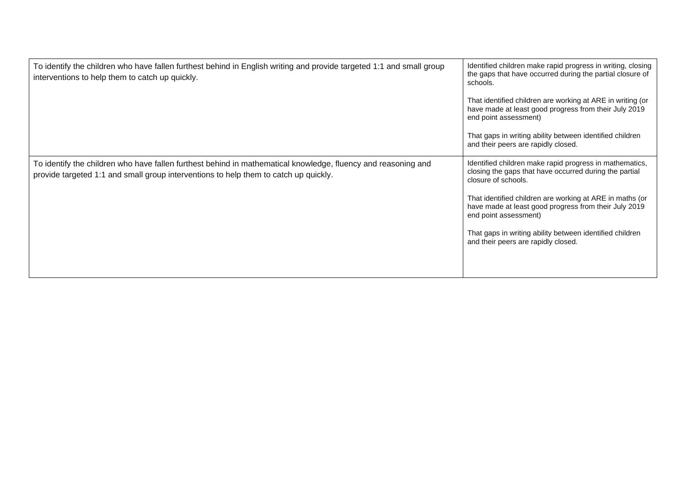| To identify the children who have fallen furthest behind in English writing and provide targeted 1:1 and small group<br>interventions to help them to catch up quickly.                               | Identified children make rapid progress in writing, closing<br>the gaps that have occurred during the partial closure of<br>schools.         |
|-------------------------------------------------------------------------------------------------------------------------------------------------------------------------------------------------------|----------------------------------------------------------------------------------------------------------------------------------------------|
|                                                                                                                                                                                                       | That identified children are working at ARE in writing (or<br>have made at least good progress from their July 2019<br>end point assessment) |
|                                                                                                                                                                                                       | That gaps in writing ability between identified children<br>and their peers are rapidly closed.                                              |
| To identify the children who have fallen furthest behind in mathematical knowledge, fluency and reasoning and<br>provide targeted 1:1 and small group interventions to help them to catch up quickly. | Identified children make rapid progress in mathematics,<br>closing the gaps that have occurred during the partial<br>closure of schools.     |
|                                                                                                                                                                                                       | That identified children are working at ARE in maths (or<br>have made at least good progress from their July 2019<br>end point assessment)   |
|                                                                                                                                                                                                       | That gaps in writing ability between identified children<br>and their peers are rapidly closed.                                              |
|                                                                                                                                                                                                       |                                                                                                                                              |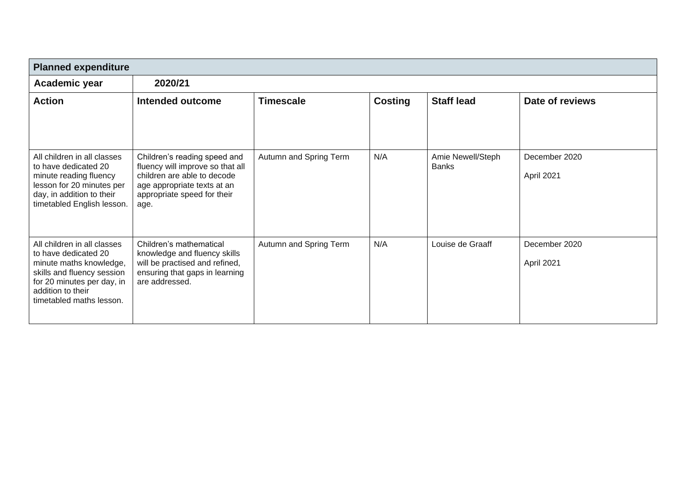| <b>Planned expenditure</b>                                                                                                                                                                  |                                                                                                                                                                       |                        |                |                                   |                             |  |
|---------------------------------------------------------------------------------------------------------------------------------------------------------------------------------------------|-----------------------------------------------------------------------------------------------------------------------------------------------------------------------|------------------------|----------------|-----------------------------------|-----------------------------|--|
| Academic year                                                                                                                                                                               | 2020/21                                                                                                                                                               |                        |                |                                   |                             |  |
| <b>Action</b>                                                                                                                                                                               | Intended outcome                                                                                                                                                      | <b>Timescale</b>       | <b>Costing</b> | <b>Staff lead</b>                 | Date of reviews             |  |
| All children in all classes<br>to have dedicated 20<br>minute reading fluency<br>lesson for 20 minutes per<br>day, in addition to their<br>timetabled English lesson.                       | Children's reading speed and<br>fluency will improve so that all<br>children are able to decode<br>age appropriate texts at an<br>appropriate speed for their<br>age. | Autumn and Spring Term | N/A            | Amie Newell/Steph<br><b>Banks</b> | December 2020<br>April 2021 |  |
| All children in all classes<br>to have dedicated 20<br>minute maths knowledge,<br>skills and fluency session<br>for 20 minutes per day, in<br>addition to their<br>timetabled maths lesson. | Children's mathematical<br>knowledge and fluency skills<br>will be practised and refined,<br>ensuring that gaps in learning<br>are addressed.                         | Autumn and Spring Term | N/A            | Louise de Graaff                  | December 2020<br>April 2021 |  |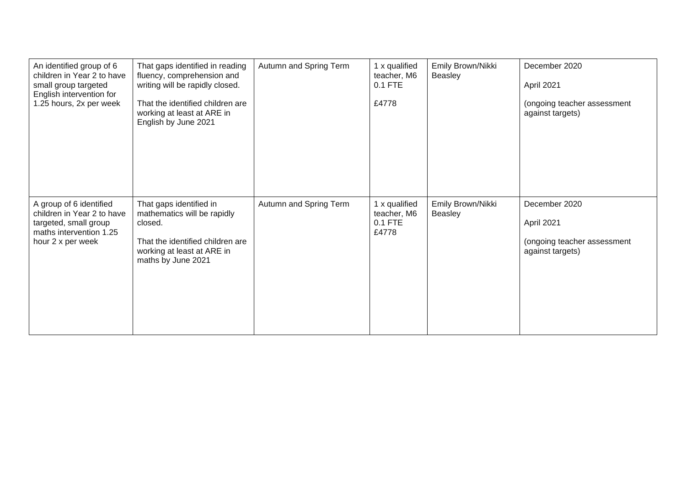| An identified group of 6<br>children in Year 2 to have<br>small group targeted<br>English intervention for<br>1.25 hours, 2x per week | That gaps identified in reading<br>fluency, comprehension and<br>writing will be rapidly closed.<br>That the identified children are<br>working at least at ARE in<br>English by June 2021 | Autumn and Spring Term | 1 x qualified<br>teacher, M6<br>0.1 FTE<br>£4778 | Emily Brown/Nikki<br><b>Beasley</b> | December 2020<br>April 2021<br>(ongoing teacher assessment<br>against targets) |
|---------------------------------------------------------------------------------------------------------------------------------------|--------------------------------------------------------------------------------------------------------------------------------------------------------------------------------------------|------------------------|--------------------------------------------------|-------------------------------------|--------------------------------------------------------------------------------|
| A group of 6 identified<br>children in Year 2 to have<br>targeted, small group<br>maths intervention 1.25<br>hour 2 x per week        | That gaps identified in<br>mathematics will be rapidly<br>closed.<br>That the identified children are<br>working at least at ARE in<br>maths by June 2021                                  | Autumn and Spring Term | 1 x qualified<br>teacher, M6<br>0.1 FTE<br>£4778 | Emily Brown/Nikki<br>Beasley        | December 2020<br>April 2021<br>(ongoing teacher assessment<br>against targets) |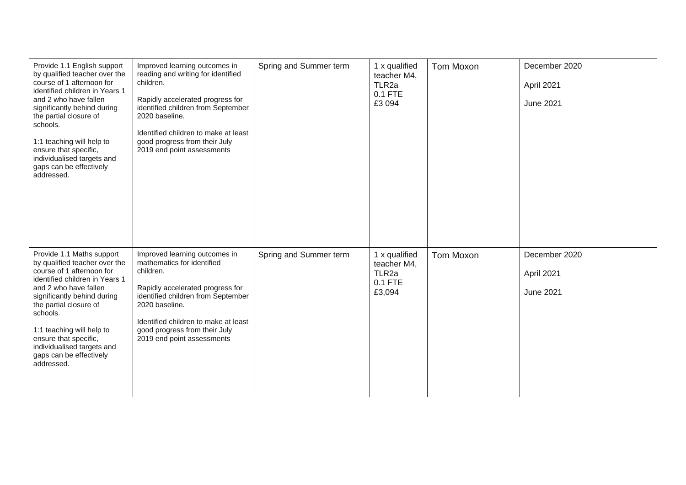| Provide 1.1 English support<br>by qualified teacher over the<br>course of 1 afternoon for<br>identified children in Years 1<br>and 2 who have fallen<br>significantly behind during<br>the partial closure of<br>schools.<br>1:1 teaching will help to<br>ensure that specific,<br>individualised targets and<br>gaps can be effectively<br>addressed. | Improved learning outcomes in<br>reading and writing for identified<br>children.<br>Rapidly accelerated progress for<br>identified children from September<br>2020 baseline.<br>Identified children to make at least<br>good progress from their July<br>2019 end point assessments | Spring and Summer term | 1 x qualified<br>teacher M4,<br>TLR <sub>2a</sub><br>0.1 FTE<br>£3 094 | <b>Tom Moxon</b> | December 2020<br>April 2021<br><b>June 2021</b> |
|--------------------------------------------------------------------------------------------------------------------------------------------------------------------------------------------------------------------------------------------------------------------------------------------------------------------------------------------------------|-------------------------------------------------------------------------------------------------------------------------------------------------------------------------------------------------------------------------------------------------------------------------------------|------------------------|------------------------------------------------------------------------|------------------|-------------------------------------------------|
| Provide 1.1 Maths support<br>by qualified teacher over the<br>course of 1 afternoon for<br>identified children in Years 1<br>and 2 who have fallen<br>significantly behind during<br>the partial closure of<br>schools.<br>1:1 teaching will help to<br>ensure that specific,<br>individualised targets and<br>gaps can be effectively<br>addressed.   | Improved learning outcomes in<br>mathematics for identified<br>children.<br>Rapidly accelerated progress for<br>identified children from September<br>2020 baseline.<br>Identified children to make at least<br>good progress from their July<br>2019 end point assessments         | Spring and Summer term | 1 x qualified<br>teacher M4,<br>TLR <sub>2a</sub><br>0.1 FTE<br>£3,094 | <b>Tom Moxon</b> | December 2020<br>April 2021<br><b>June 2021</b> |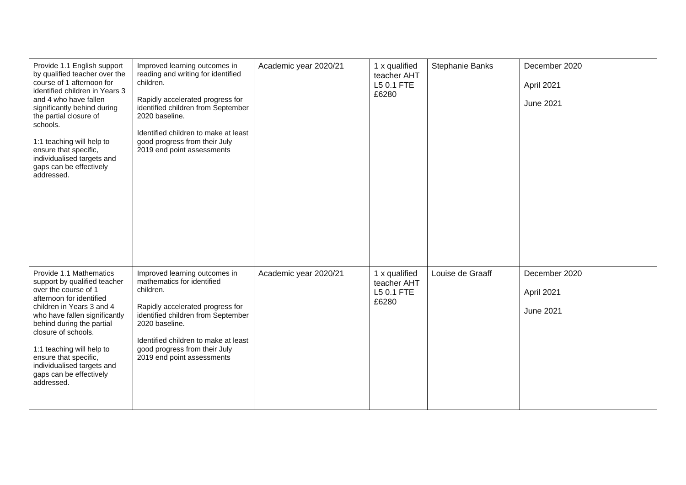| Provide 1.1 English support<br>by qualified teacher over the<br>course of 1 afternoon for<br>identified children in Years 3<br>and 4 who have fallen<br>significantly behind during<br>the partial closure of<br>schools.<br>1:1 teaching will help to<br>ensure that specific,<br>individualised targets and<br>gaps can be effectively<br>addressed.     | Improved learning outcomes in<br>reading and writing for identified<br>children.<br>Rapidly accelerated progress for<br>identified children from September<br>2020 baseline.<br>Identified children to make at least<br>good progress from their July<br>2019 end point assessments | Academic year 2020/21 | 1 x qualified<br>teacher AHT<br>L5 0.1 FTE<br>£6280 | Stephanie Banks  | December 2020<br>April 2021<br><b>June 2021</b> |
|------------------------------------------------------------------------------------------------------------------------------------------------------------------------------------------------------------------------------------------------------------------------------------------------------------------------------------------------------------|-------------------------------------------------------------------------------------------------------------------------------------------------------------------------------------------------------------------------------------------------------------------------------------|-----------------------|-----------------------------------------------------|------------------|-------------------------------------------------|
| Provide 1.1 Mathematics<br>support by qualified teacher<br>over the course of 1<br>afternoon for identified<br>children in Years 3 and 4<br>who have fallen significantly<br>behind during the partial<br>closure of schools.<br>1:1 teaching will help to<br>ensure that specific,<br>individualised targets and<br>gaps can be effectively<br>addressed. | Improved learning outcomes in<br>mathematics for identified<br>children.<br>Rapidly accelerated progress for<br>identified children from September<br>2020 baseline.<br>Identified children to make at least<br>good progress from their July<br>2019 end point assessments         | Academic year 2020/21 | 1 x qualified<br>teacher AHT<br>L5 0.1 FTE<br>£6280 | Louise de Graaff | December 2020<br>April 2021<br><b>June 2021</b> |